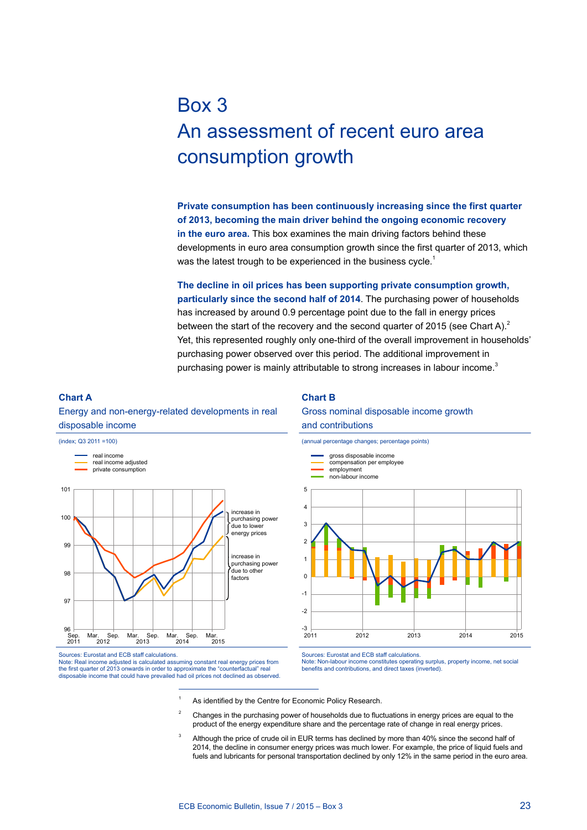# Box 3 An assessment of recent euro area consumption growth

**Private consumption has been continuously increasing since the first quarter of 2013, becoming the main driver behind the ongoing economic recovery in the euro area.** This box examines the main driving factors behind these developments in euro area consumption growth since the first quarter of 2013, which was the latest trough to be experienced in the business cycle.<sup>1</sup>

**The decline in oil prices has been supporting private consumption growth, particularly since the second half of 2014**. The purchasing power of households has increased by around 0.9 percentage point due to the fall in energy prices between the start of the recovery and the second quarter of 2015 (see Chart A).<sup>2</sup> Yet, this represented roughly only one-third of the overall improvement in households' purchasing power observed over this period. The additional improvement in purchasing power is mainly attributable to strong increases in labour income.<sup>3</sup>

### **Chart a**

Energy and non-energy-related developments in real disposable income



#### **Chart B**

#### Gross nominal disposable income growth and contributions



Sources: Eurostat and ECB staff calculations. Note: Real income adjusted is calculated assuming constant real energy prices from the first quarter of 2013 onwards in order to approximate the "counterfactual" real disposable income that could have prevailed had oil prices not declined as observed. Sources: Eurostat and ECB staff calculations. Note: Non-labour income constitutes operating surplus, property income, net social benefits and contributions, and direct taxes (inverted).

- As identified by the [Centre for Economic Policy Research.](http://www.cepr.org/)
- $2^2$  Changes in the purchasing power of households due to fluctuations in energy prices are equal to the product of the energy expenditure share and the percentage rate of change in real energy prices.
- Although the price of crude oil in EUR terms has declined by more than 40% since the second half of 2014, the decline in consumer energy prices was much lower. For example, the price of liquid fuels and fuels and lubricants for personal transportation declined by only 12% in the same period in the euro area.